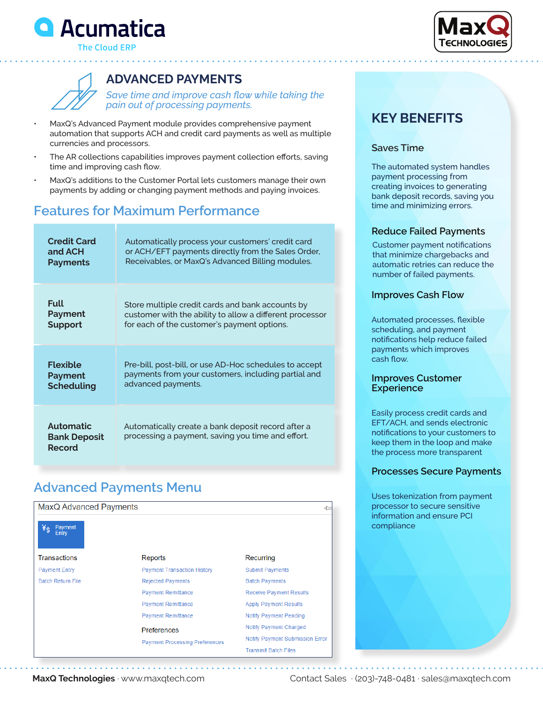



**The Cloud ERP** 

## **ADVANCED PAYMENTS**

*Save time and improve cash flow while taking the pain out of processing payments.*

- MaxQ's Advanced Payment module provides comprehensive payment automation that supports ACH and credit card payments as well as multiple currencies and processors.
- The AR collections capabilities improves payment collection efforts, saving time and improving cash flow.
- MaxQ's additions to the Customer Portal lets customers manage their own payments by adding or changing payment methods and paying invoices.

# **Features for Maximum Performance**

| <b>Credit Card</b>                                       | Automatically process your customers' credit card                                                       |
|----------------------------------------------------------|---------------------------------------------------------------------------------------------------------|
| and ACH                                                  | or ACH/EFT payments directly from the Sales Order,                                                      |
| <b>Payments</b>                                          | Receivables, or MaxQ's Advanced Billing modules.                                                        |
| <b>Full</b>                                              | Store multiple credit cards and bank accounts by                                                        |
| Payment                                                  | customer with the ability to allow a different processor                                                |
| <b>Support</b>                                           | for each of the customer's payment options.                                                             |
| <b>Flexible</b>                                          | Pre-bill, post-bill, or use AD-Hoc schedules to accept                                                  |
| Payment                                                  | payments from your customers, including partial and                                                     |
| <b>Scheduling</b>                                        | advanced payments.                                                                                      |
| <b>Automatic</b><br><b>Bank Deposit</b><br><b>Record</b> | Automatically create a bank deposit record after a<br>processing a payment, saving you time and effort. |

# **Advanced Payments Menu**

| MaxQ Advanced Payments<br>Payment<br>Entry |                                       | ⊣∕⊐                                    |
|--------------------------------------------|---------------------------------------|----------------------------------------|
| <b>Transactions</b>                        | Reports                               | Recurring                              |
| <b>Payment Entry</b>                       | <b>Payment Transaction History</b>    | <b>Submit Payments</b>                 |
| <b>Batch Return File</b>                   | <b>Rejected Payments</b>              | <b>Batch Payments</b>                  |
|                                            | <b>Payment Remittance</b>             | <b>Receive Payment Results</b>         |
|                                            | <b>Payment Remittance</b>             | <b>Apply Payment Results</b>           |
|                                            | <b>Payment Remittance</b>             | Notify Payment Pending                 |
|                                            | Preferences                           | Notify Payment Charged                 |
|                                            | <b>Payment Processing Preferences</b> | <b>Notify Payment Submission Error</b> |
|                                            |                                       | <b>Transmit Batch Files</b>            |

# **KEY BENEFITS**

### **Saves Time**

The automated system handles payment processing from creating invoices to generating bank deposit records, saving you time and minimizing errors.

### **Reduce Failed Payments**

Customer payment notifications that minimize chargebacks and automatic retries can reduce the number of failed payments.

### **Improves Cash Flow**

Automated processes, flexible scheduling, and payment notifications help reduce failed payments which improves cash flow.

### **Improves Customer Experience**

Easily process credit cards and EFT/ACH, and sends electronic notifications to your customers to keep them in the loop and make the process more transparent

### **Processes Secure Payments**

Uses tokenization from payment processor to secure sensitive information and ensure PCI compliance